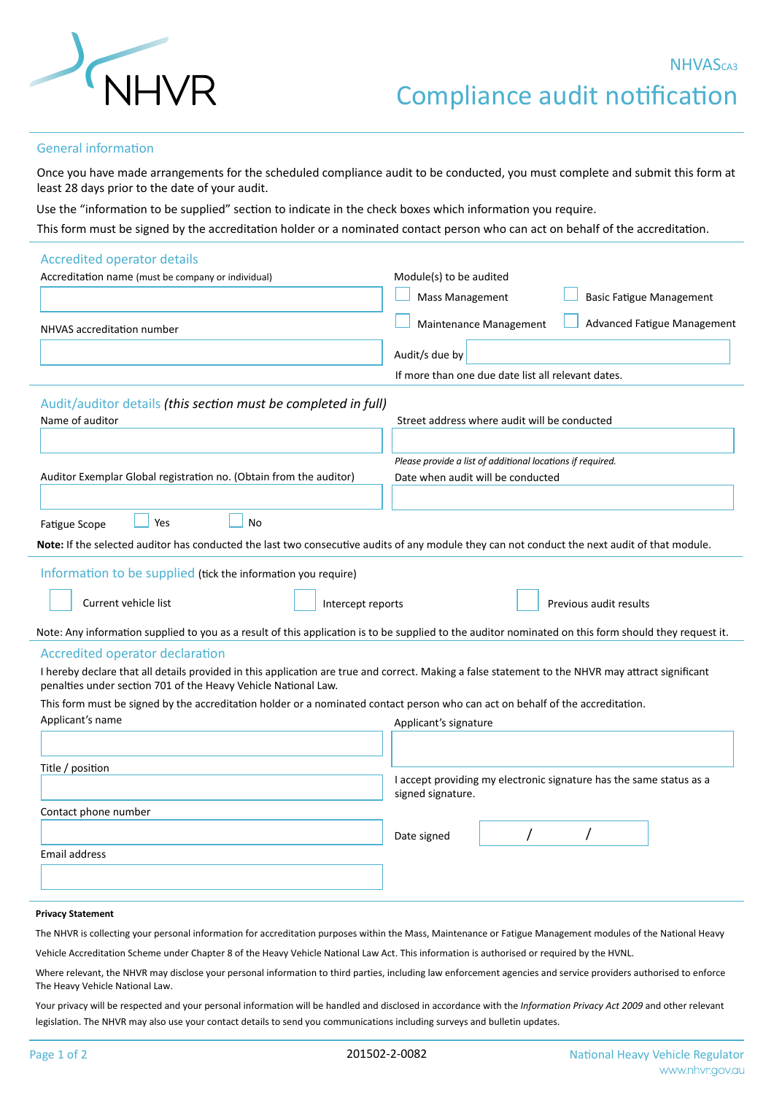

## General information

Once you have made arrangements for the scheduled compliance audit to be conducted, you must complete and submit this form at least 28 days prior to the date of your audit.

Use the "information to be supplied" section to indicate in the check boxes which information you require.

This form must be signed by the accreditation holder or a nominated contact person who can act on behalf of the accreditation.

| <b>Accredited operator details</b>                                                                                                                |                                                                                                                                                       |
|---------------------------------------------------------------------------------------------------------------------------------------------------|-------------------------------------------------------------------------------------------------------------------------------------------------------|
| Accreditation name (must be company or individual)                                                                                                | Module(s) to be audited                                                                                                                               |
|                                                                                                                                                   | <b>Basic Fatigue Management</b><br><b>Mass Management</b>                                                                                             |
| <b>NHVAS accreditation number</b>                                                                                                                 | Maintenance Management<br><b>Advanced Fatigue Management</b>                                                                                          |
|                                                                                                                                                   | Audit/s due by                                                                                                                                        |
|                                                                                                                                                   | If more than one due date list all relevant dates.                                                                                                    |
| Audit/auditor details (this section must be completed in full)                                                                                    |                                                                                                                                                       |
| Name of auditor                                                                                                                                   | Street address where audit will be conducted                                                                                                          |
|                                                                                                                                                   |                                                                                                                                                       |
|                                                                                                                                                   | Please provide a list of additional locations if required.                                                                                            |
| Auditor Exemplar Global registration no. (Obtain from the auditor)                                                                                | Date when audit will be conducted                                                                                                                     |
|                                                                                                                                                   |                                                                                                                                                       |
| <b>No</b><br>Yes<br><b>Fatigue Scope</b>                                                                                                          |                                                                                                                                                       |
| Note: If the selected auditor has conducted the last two consecutive audits of any module they can not conduct the next audit of that module.     |                                                                                                                                                       |
| Information to be supplied (tick the information you require)                                                                                     |                                                                                                                                                       |
|                                                                                                                                                   |                                                                                                                                                       |
| Current vehicle list<br>Intercept reports                                                                                                         | Previous audit results                                                                                                                                |
|                                                                                                                                                   | Note: Any information supplied to you as a result of this application is to be supplied to the auditor nominated on this form should they request it. |
| <b>Accredited operator declaration</b>                                                                                                            |                                                                                                                                                       |
| I hereby declare that all details provided in this application are true and correct. Making a false statement to the NHVR may attract significant |                                                                                                                                                       |
| penalties under section 701 of the Heavy Vehicle National Law.                                                                                    |                                                                                                                                                       |
| This form must be signed by the accreditation holder or a nominated contact person who can act on behalf of the accreditation.                    |                                                                                                                                                       |
| Applicant's name                                                                                                                                  | Applicant's signature                                                                                                                                 |
|                                                                                                                                                   |                                                                                                                                                       |
| Title / position                                                                                                                                  |                                                                                                                                                       |
|                                                                                                                                                   | I accept providing my electronic signature has the same status as a                                                                                   |
|                                                                                                                                                   | signed signature.                                                                                                                                     |
| Contact phone number                                                                                                                              |                                                                                                                                                       |
|                                                                                                                                                   | Date signed                                                                                                                                           |
| <b>Email address</b>                                                                                                                              |                                                                                                                                                       |
|                                                                                                                                                   |                                                                                                                                                       |
|                                                                                                                                                   |                                                                                                                                                       |
| <b>Privacy Statement</b>                                                                                                                          |                                                                                                                                                       |

The NHVR is collecting your personal information for accreditation purposes within the Mass, Maintenance or Fatigue Management modules of the National Heavy

Vehicle Accreditation Scheme under Chapter 8 of the Heavy Vehicle National Law Act. This information is authorised or required by the HVNL.

Where relevant, the NHVR may disclose your personal information to third parties, including law enforcement agencies and service providers authorised to enforce The Heavy Vehicle National Law.

Your privacy will be respected and your personal information will be handled and disclosed in accordance with the *Information Privacy Act 2009* and other relevant legislation. The NHVR may also use your contact details to send you communications including surveys and bulletin updates.